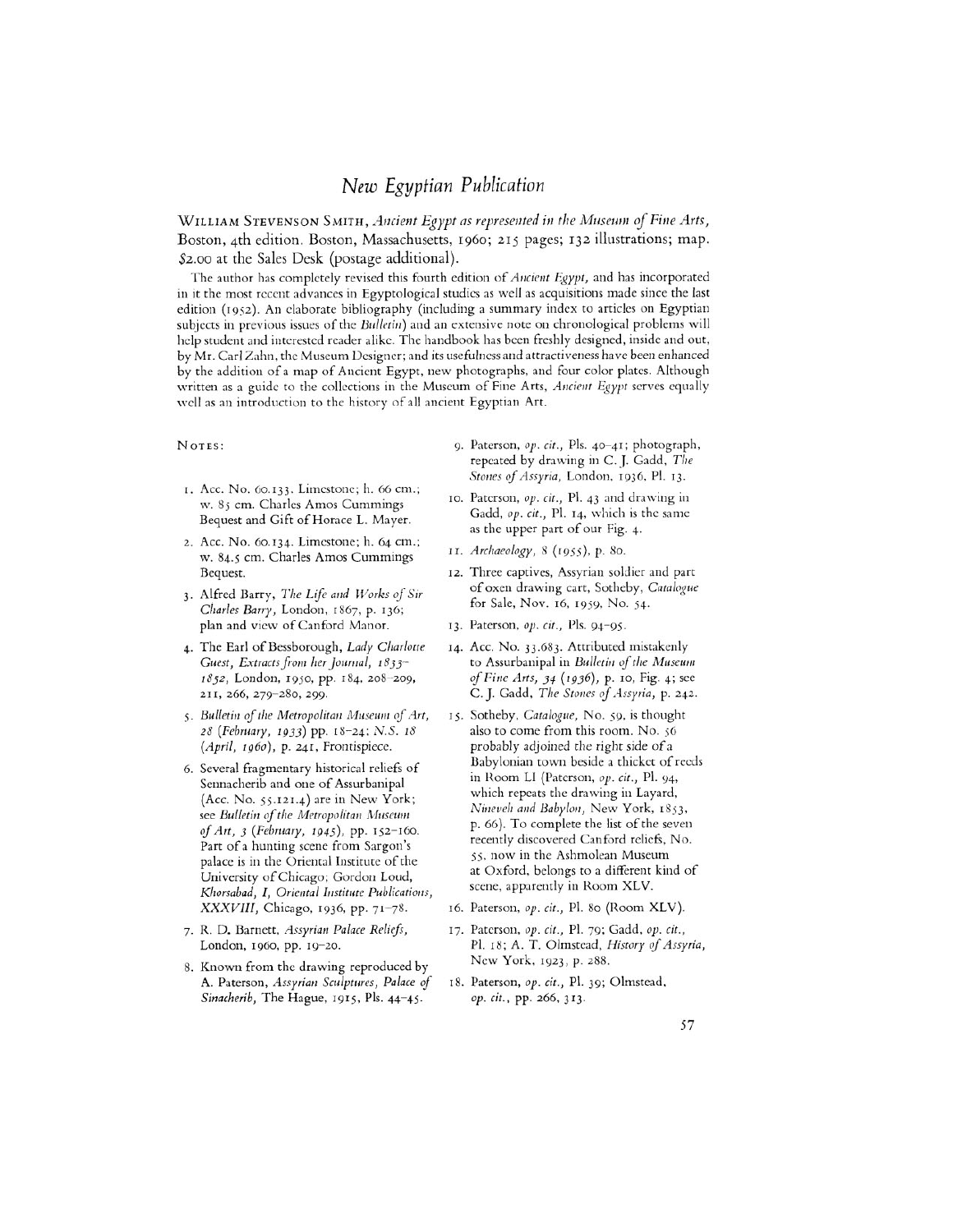## *New* Egyptian Publication

WILLIAM STEVENSON SMITH, *Ancient Egypt as represented in the Museum of Fine Arts,*  Boston, 4th edition. Boston, Massachusetts, 1960; 215 pages; 132 illustrations; map. \$2.00 at the Sales Desk (postage additional).

The author has completely revised this fourth edition of *Ancient Egypt,* and has incorporated in it the most recent advances in Egyptological studies as well as acquisitions made since the last edition (1952). An elaborate bibliography (including a summary index to articles on Egyptian subjects in previous issues of the *Bulletin*) and an extensive note on chronological problems will help student and interested reader alike. The handbook has been freshly designed, inside and out, by Mr. Carl Zahn, the Museum Designer; and its usefulness and attractiveness have been enhanced by the addition of a map of Ancient Egypt, new photographs, and four color plates. Although written as a guide to the collections in the Museum of Fine Arts, *Ancient Egypt* serves equally well as an introduction to the history of all ancient Egyptian Art.

- I. Acc. No. 60.133. Limestone; h. 66 cm.; w. 85 cm. Charles Amos Cummings Bequest and Gift of Horace L. Mayer.
- 2. Acc. No. 60.134. Limestone; h. 64 cm.; w. 84.5 cm. Charles Amos Cummings **11.** *Archaeology, 8* **(1955),** p. *80.*  Bequest.
- **3.** Alfred Barry, *The Life* and *Works of Sir Charles Barry,* London, 1867, p. 136; plan and view of Canford Manor.
- 4. The Earl of Bessborough, *Lady Charlotte Guest, Extracts from her Journal, 1833- 1852,* London, 1950, pp. **184,** *208-209,*  211, 266, 279-280, 299.
- *5. Bulletin of the Metropolitan Museum of Art, 28 (February, 1933)* pp. 18-24; N.S. *18 (April, 1960),* p. 241, Frontispiece.
- 6. Several fragmentary historical reliefs of Sennacherib and one of Assurbanipal (Acc. No. 55.121.4) are in New York; see *Bulletin* **of** *the Metropolitan Museum of Art, 3 (February, 1945),* pp. 152-160. Part of a hunting scene from Sargon's palace is in the Oriental Institute of the University of Chicago; Gordon Loud, *Khorsabad, I, Oriental Institute Publications, XXXVIII,* Chicago, 1936, pp. 71-78.
- 7. R. D. Barnett, *Assyrian Palace Reliefs,*  London, 1960, pp. 19-20.
- 8. Known from the drawing reproduced by **A.** Paterson, *Assyrian Sculptures, Palace* of *Sinacherib,* The Hague, 1915, Pls. 44-45.
- **NOTES:** 9. Paterson, op. *cit.,* Pls. 40-41; photograph, repeated by drawing in C. J. Gadd, *The Stories* of *Assyria,* London, 1936, Pl. 13.
	- 10. Paterson, *op. cit.,* Pl. 43 and drawing in Gadd, *op.* cit., Pl. 14, which is the same as the upper part of our Fig. 4.
	-
	- **12.** Three captives, Assyrian soldier and part of oxen drawing cart, Sotheby, *Catalogue*  for Sale, Nov. 16, **1959,** No. 54.
	- 13. Paterson, op. cit., Pls. 94-95.
	- 14. Acc. No. 33.683. Attributed mistakenly to Assurbanipal in *Bulletin of the Museum of Fine Arts, 34 (1936),* p. 10, Fig. 4; see C. J. Gadd, *The Stories* of *Assyria,* p. 242.
	- also to come from this room. No. *56*  probably adjoined the right side of a Babylonian town beside a thicket of reeds in Room LI (Paterson, *op. cit.,* Pl. 94, which repeats the drawing in Layard, *Nineveh arid Babylon,* New York, 1853, p. 66). To complete the list of the seven recently discovered Can ford reliefs, No. *55,* **now** in the Ashmolean Museum at Oxford, belongs to a different kind of scene, apparently in Room XLV. 15. Sotheby, *Catalogue,* No. *59,* is thought
	- 16. Paterson, *op. cit.,* PI. *80* (Room XLV).
	- 17. Paterson, *op. cit.,* Pl. 79; Gadd, *op. cit.,*  Pl. 18; A. T. Olmstead, *History of Assyria*, New York, 1923, p. 288.
	- *op. cit.,* pp. 266, **313.**  18. Paterson, *op. cit.,* Pl. 39; Olmstead,